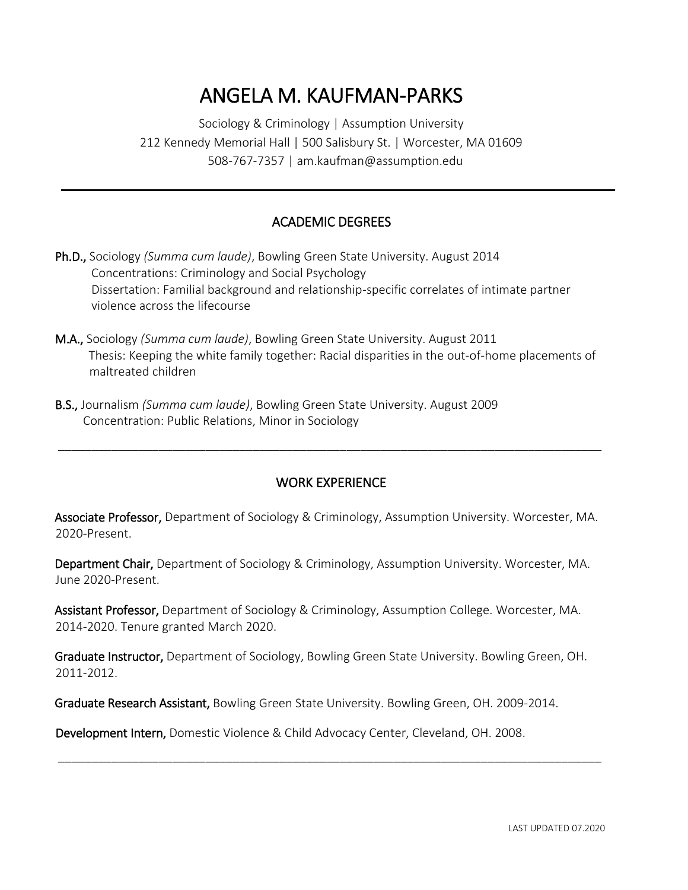# ANGELA M. KAUFMAN-PARKS

Sociology & Criminology | Assumption University 212 Kennedy Memorial Hall | 500 Salisbury St. | Worcester, MA 01609 508-767-7357 | am.kaufman@assumption.edu

## ACADEMIC DEGREES

- Ph.D., Sociology *(Summa cum laude)*, Bowling Green State University. August 2014 Concentrations: Criminology and Social Psychology Dissertation: Familial background and relationship-specific correlates of intimate partner violence across the lifecourse
- M.A., Sociology *(Summa cum laude)*, Bowling Green State University. August 2011 Thesis: Keeping the white family together: Racial disparities in the out-of-home placements of maltreated children
- B.S., Journalism *(Summa cum laude)*, Bowling Green State University. August 2009 Concentration: Public Relations, Minor in Sociology

## WORK EXPERIENCE

\_\_\_\_\_\_\_\_\_\_\_\_\_\_\_\_\_\_\_\_\_\_\_\_\_\_\_\_\_\_\_\_\_\_\_\_\_\_\_\_\_\_\_\_\_\_\_\_\_\_\_\_\_\_\_\_\_\_\_\_\_\_\_\_\_\_\_\_\_\_\_\_\_\_\_\_\_\_\_\_\_

Associate Professor, Department of Sociology & Criminology, Assumption University. Worcester, MA. 2020-Present.

Department Chair, Department of Sociology & Criminology, Assumption University. Worcester, MA. June 2020-Present.

Assistant Professor, Department of Sociology & Criminology, Assumption College. Worcester, MA. 2014-2020. Tenure granted March 2020.

Graduate Instructor, Department of Sociology, Bowling Green State University. Bowling Green, OH. 2011-2012.

\_\_\_\_\_\_\_\_\_\_\_\_\_\_\_\_\_\_\_\_\_\_\_\_\_\_\_\_\_\_\_\_\_\_\_\_\_\_\_\_\_\_\_\_\_\_\_\_\_\_\_\_\_\_\_\_\_\_\_\_\_\_\_\_\_\_\_\_\_\_\_\_\_\_\_\_\_\_\_\_\_

Graduate Research Assistant, Bowling Green State University. Bowling Green, OH. 2009-2014.

Development Intern, Domestic Violence & Child Advocacy Center, Cleveland, OH. 2008.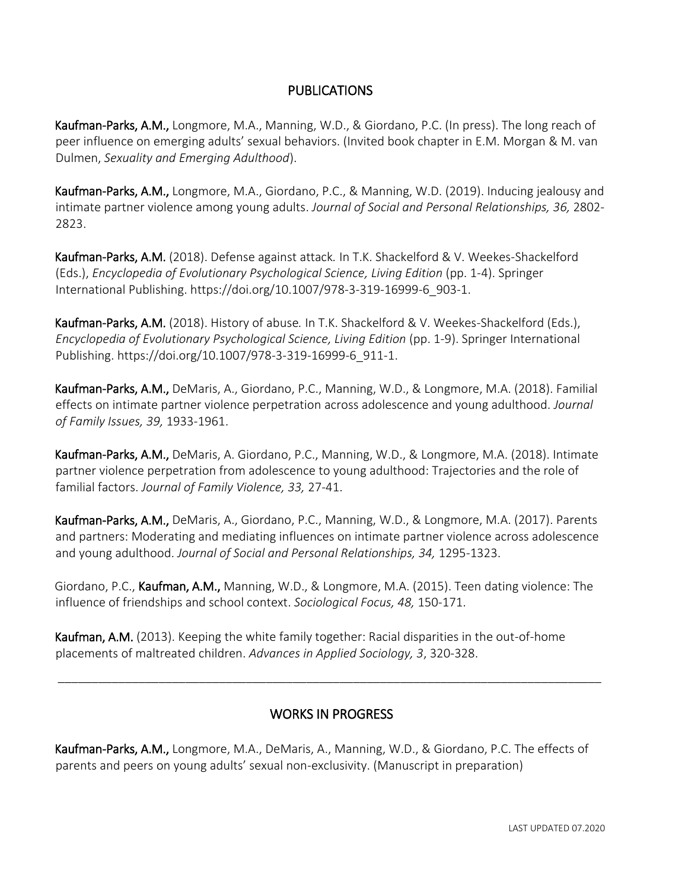## PUBLICATIONS

Kaufman-Parks, A.M., Longmore, M.A., Manning, W.D., & Giordano, P.C. (In press). The long reach of peer influence on emerging adults' sexual behaviors. (Invited book chapter in E.M. Morgan & M. van Dulmen, *Sexuality and Emerging Adulthood*).

Kaufman-Parks, A.M., Longmore, M.A., Giordano, P.C., & Manning, W.D. (2019). Inducing jealousy and intimate partner violence among young adults. *Journal of Social and Personal Relationships, 36,* 2802- 2823.

Kaufman-Parks, A.M. (2018). Defense against attack*.* In T.K. Shackelford & V. Weekes-Shackelford (Eds.), *Encyclopedia of Evolutionary Psychological Science, Living Edition* (pp. 1-4). Springer International Publishing. https://doi.org/10.1007/978-3-319-16999-6\_903-1.

Kaufman-Parks, A.M. (2018). History of abuse*.* In T.K. Shackelford & V. Weekes-Shackelford (Eds.), *Encyclopedia of Evolutionary Psychological Science, Living Edition* (pp. 1-9). Springer International Publishing. https://doi.org/10.1007/978-3-319-16999-6\_911-1.

Kaufman-Parks, A.M., DeMaris, A., Giordano, P.C., Manning, W.D., & Longmore, M.A. (2018). Familial effects on intimate partner violence perpetration across adolescence and young adulthood. *Journal of Family Issues, 39,* 1933-1961.

Kaufman-Parks, A.M., DeMaris, A. Giordano, P.C., Manning, W.D., & Longmore, M.A. (2018). Intimate partner violence perpetration from adolescence to young adulthood: Trajectories and the role of familial factors. *Journal of Family Violence, 33,* 27-41.

Kaufman-Parks, A.M., DeMaris, A., Giordano, P.C., Manning, W.D., & Longmore, M.A. (2017). Parents and partners: Moderating and mediating influences on intimate partner violence across adolescence and young adulthood. *Journal of Social and Personal Relationships, 34,* 1295-1323.

Giordano, P.C., Kaufman, A.M., Manning, W.D., & Longmore, M.A. (2015). Teen dating violence: The influence of friendships and school context. *Sociological Focus, 48,* 150-171.

Kaufman, A.M. (2013). Keeping the white family together: Racial disparities in the out-of-home placements of maltreated children. *Advances in Applied Sociology, 3*, 320-328.

## WORKS IN PROGRESS

\_\_\_\_\_\_\_\_\_\_\_\_\_\_\_\_\_\_\_\_\_\_\_\_\_\_\_\_\_\_\_\_\_\_\_\_\_\_\_\_\_\_\_\_\_\_\_\_\_\_\_\_\_\_\_\_\_\_\_\_\_\_\_\_\_\_\_\_\_\_\_\_\_\_\_\_\_\_\_\_\_

Kaufman-Parks, A.M., Longmore, M.A., DeMaris, A., Manning, W.D., & Giordano, P.C. The effects of parents and peers on young adults' sexual non-exclusivity. (Manuscript in preparation)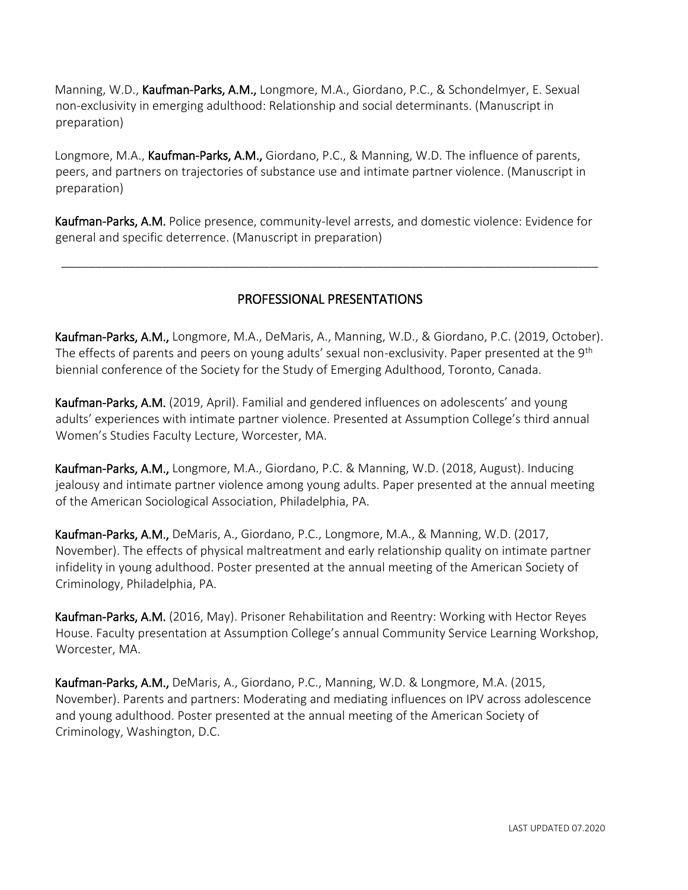Manning, W.D., Kaufman-Parks, A.M., Longmore, M.A., Giordano, P.C., & Schondelmyer, E. Sexual non-exclusivity in emerging adulthood: Relationship and social determinants. (Manuscript in preparation)

Longmore, M.A., Kaufman-Parks, A.M., Giordano, P.C., & Manning, W.D. The influence of parents, peers, and partners on trajectories of substance use and intimate partner violence. (Manuscript in preparation)

Kaufman-Parks, A.M. Police presence, community-level arrests, and domestic violence: Evidence for general and specific deterrence. (Manuscript in preparation)

# PROFESSIONAL PRESENTATIONS

\_\_\_\_\_\_\_\_\_\_\_\_\_\_\_\_\_\_\_\_\_\_\_\_\_\_\_\_\_\_\_\_\_\_\_\_\_\_\_\_\_\_\_\_\_\_\_\_\_\_\_\_\_\_\_\_\_\_\_\_\_\_\_\_\_\_\_\_\_\_\_\_\_\_\_\_\_\_\_\_

Kaufman-Parks, A.M., Longmore, M.A., DeMaris, A., Manning, W.D., & Giordano, P.C. (2019, October). The effects of parents and peers on young adults' sexual non-exclusivity. Paper presented at the 9<sup>th</sup> biennial conference of the Society for the Study of Emerging Adulthood, Toronto, Canada.

Kaufman-Parks, A.M. (2019, April). Familial and gendered influences on adolescents' and young adults' experiences with intimate partner violence. Presented at Assumption College's third annual Women's Studies Faculty Lecture, Worcester, MA.

Kaufman-Parks, A.M., Longmore, M.A., Giordano, P.C. & Manning, W.D. (2018, August). Inducing jealousy and intimate partner violence among young adults. Paper presented at the annual meeting of the American Sociological Association, Philadelphia, PA.

Kaufman-Parks, A.M., DeMaris, A., Giordano, P.C., Longmore, M.A., & Manning, W.D. (2017, November). The effects of physical maltreatment and early relationship quality on intimate partner infidelity in young adulthood. Poster presented at the annual meeting of the American Society of Criminology, Philadelphia, PA.

Kaufman-Parks, A.M. (2016, May). Prisoner Rehabilitation and Reentry: Working with Hector Reyes House. Faculty presentation at Assumption College's annual Community Service Learning Workshop, Worcester, MA.

Kaufman-Parks, A.M., DeMaris, A., Giordano, P.C., Manning, W.D. & Longmore, M.A. (2015, November). Parents and partners: Moderating and mediating influences on IPV across adolescence and young adulthood. Poster presented at the annual meeting of the American Society of Criminology, Washington, D.C.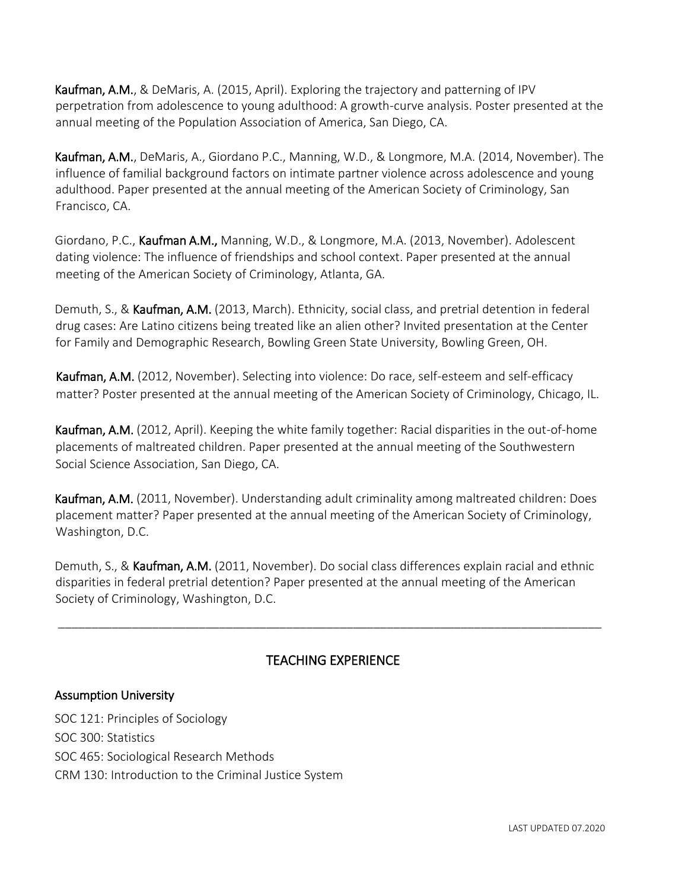Kaufman, A.M., & DeMaris, A. (2015, April). Exploring the trajectory and patterning of IPV perpetration from adolescence to young adulthood: A growth-curve analysis. Poster presented at the annual meeting of the Population Association of America, San Diego, CA.

Kaufman, A.M., DeMaris, A., Giordano P.C., Manning, W.D., & Longmore, M.A. (2014, November). The influence of familial background factors on intimate partner violence across adolescence and young adulthood. Paper presented at the annual meeting of the American Society of Criminology, San Francisco, CA.

Giordano, P.C., Kaufman A.M., Manning, W.D., & Longmore, M.A. (2013, November). Adolescent dating violence: The influence of friendships and school context. Paper presented at the annual meeting of the American Society of Criminology, Atlanta, GA.

Demuth, S., & Kaufman, A.M. (2013, March). Ethnicity, social class, and pretrial detention in federal drug cases: Are Latino citizens being treated like an alien other? Invited presentation at the Center for Family and Demographic Research, Bowling Green State University, Bowling Green, OH.

Kaufman, A.M. (2012, November). Selecting into violence: Do race, self-esteem and self-efficacy matter? Poster presented at the annual meeting of the American Society of Criminology, Chicago, IL.

Kaufman, A.M. (2012, April). Keeping the white family together: Racial disparities in the out-of-home placements of maltreated children. Paper presented at the annual meeting of the Southwestern Social Science Association, San Diego, CA.

Kaufman, A.M. (2011, November). Understanding adult criminality among maltreated children: Does placement matter? Paper presented at the annual meeting of the American Society of Criminology, Washington, D.C.

Demuth, S., & Kaufman, A.M. (2011, November). Do social class differences explain racial and ethnic disparities in federal pretrial detention? Paper presented at the annual meeting of the American Society of Criminology, Washington, D.C.

# TEACHING EXPERIENCE

\_\_\_\_\_\_\_\_\_\_\_\_\_\_\_\_\_\_\_\_\_\_\_\_\_\_\_\_\_\_\_\_\_\_\_\_\_\_\_\_\_\_\_\_\_\_\_\_\_\_\_\_\_\_\_\_\_\_\_\_\_\_\_\_\_\_\_\_\_\_\_\_\_\_\_\_\_\_\_\_\_

## Assumption University

SOC 121: Principles of Sociology SOC 300: Statistics SOC 465: Sociological Research Methods CRM 130: Introduction to the Criminal Justice System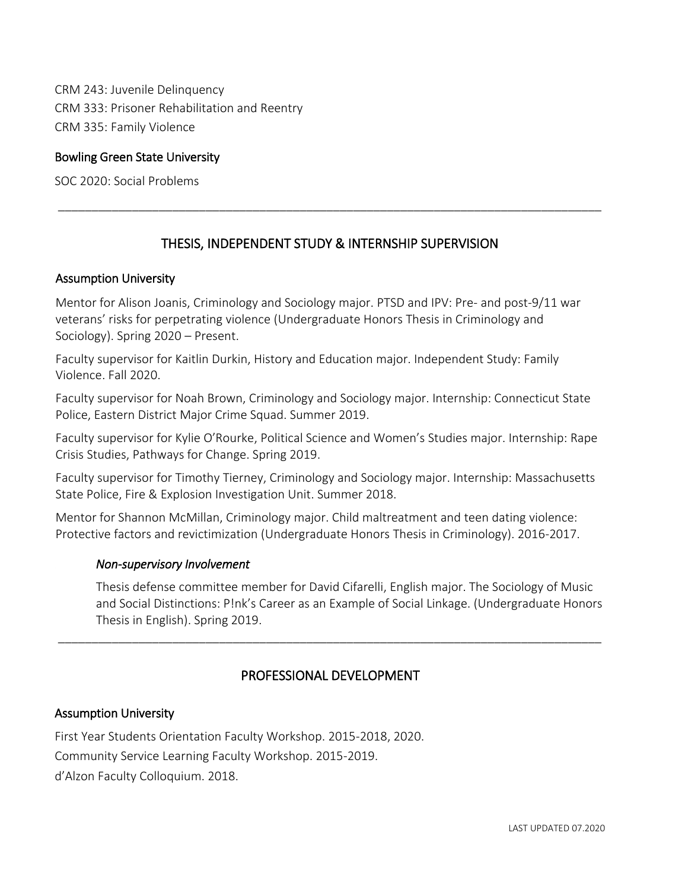CRM 243: Juvenile Delinquency CRM 333: Prisoner Rehabilitation and Reentry CRM 335: Family Violence

#### Bowling Green State University

SOC 2020: Social Problems

## THESIS, INDEPENDENT STUDY & INTERNSHIP SUPERVISION

\_\_\_\_\_\_\_\_\_\_\_\_\_\_\_\_\_\_\_\_\_\_\_\_\_\_\_\_\_\_\_\_\_\_\_\_\_\_\_\_\_\_\_\_\_\_\_\_\_\_\_\_\_\_\_\_\_\_\_\_\_\_\_\_\_\_\_\_\_\_\_\_\_\_\_\_\_\_\_\_\_

#### Assumption University

Mentor for Alison Joanis, Criminology and Sociology major. PTSD and IPV: Pre- and post-9/11 war veterans' risks for perpetrating violence (Undergraduate Honors Thesis in Criminology and Sociology). Spring 2020 – Present.

Faculty supervisor for Kaitlin Durkin, History and Education major. Independent Study: Family Violence. Fall 2020.

Faculty supervisor for Noah Brown, Criminology and Sociology major. Internship: Connecticut State Police, Eastern District Major Crime Squad. Summer 2019.

Faculty supervisor for Kylie O'Rourke, Political Science and Women's Studies major. Internship: Rape Crisis Studies, Pathways for Change. Spring 2019.

Faculty supervisor for Timothy Tierney, Criminology and Sociology major. Internship: Massachusetts State Police, Fire & Explosion Investigation Unit. Summer 2018.

Mentor for Shannon McMillan, Criminology major. Child maltreatment and teen dating violence: Protective factors and revictimization (Undergraduate Honors Thesis in Criminology). 2016-2017.

#### *Non-supervisory Involvement*

Thesis defense committee member for David Cifarelli, English major. The Sociology of Music and Social Distinctions: P!nk's Career as an Example of Social Linkage. (Undergraduate Honors Thesis in English). Spring 2019.

## PROFESSIONAL DEVELOPMENT

\_\_\_\_\_\_\_\_\_\_\_\_\_\_\_\_\_\_\_\_\_\_\_\_\_\_\_\_\_\_\_\_\_\_\_\_\_\_\_\_\_\_\_\_\_\_\_\_\_\_\_\_\_\_\_\_\_\_\_\_\_\_\_\_\_\_\_\_\_\_\_\_\_\_\_\_\_\_\_\_\_

#### Assumption University

First Year Students Orientation Faculty Workshop. 2015-2018, 2020. Community Service Learning Faculty Workshop. 2015-2019. d'Alzon Faculty Colloquium. 2018.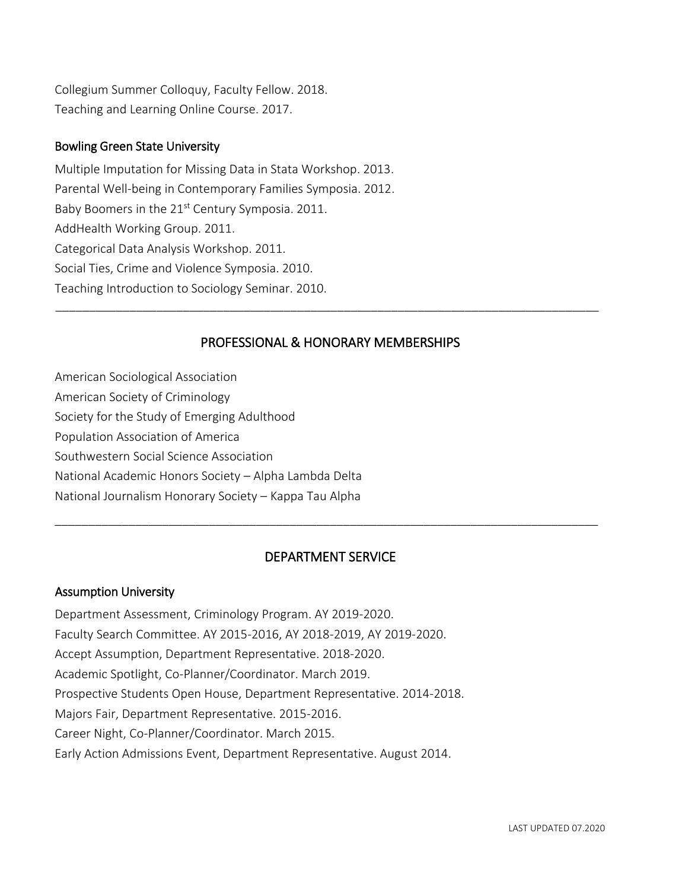Collegium Summer Colloquy, Faculty Fellow. 2018. Teaching and Learning Online Course. 2017.

#### Bowling Green State University

Multiple Imputation for Missing Data in Stata Workshop. 2013. Parental Well-being in Contemporary Families Symposia. 2012. Baby Boomers in the 21<sup>st</sup> Century Symposia. 2011. AddHealth Working Group. 2011. Categorical Data Analysis Workshop. 2011. Social Ties, Crime and Violence Symposia. 2010. Teaching Introduction to Sociology Seminar. 2010.

## PROFESSIONAL & HONORARY MEMBERSHIPS

\_\_\_\_\_\_\_\_\_\_\_\_\_\_\_\_\_\_\_\_\_\_\_\_\_\_\_\_\_\_\_\_\_\_\_\_\_\_\_\_\_\_\_\_\_\_\_\_\_\_\_\_\_\_\_\_\_\_\_\_\_\_\_\_\_\_\_\_\_\_\_\_\_\_\_\_\_\_\_\_\_

American Sociological Association

- American Society of Criminology
- Society for the Study of Emerging Adulthood
- Population Association of America
- Southwestern Social Science Association
- National Academic Honors Society Alpha Lambda Delta
- National Journalism Honorary Society Kappa Tau Alpha

## DEPARTMENT SERVICE

\_\_\_\_\_\_\_\_\_\_\_\_\_\_\_\_\_\_\_\_\_\_\_\_\_\_\_\_\_\_\_\_\_\_\_\_\_\_\_\_\_\_\_\_\_\_\_\_\_\_\_\_\_\_\_\_\_\_\_\_\_\_\_\_\_\_\_\_\_\_\_\_\_\_\_\_\_\_\_\_\_

## Assumption University

Department Assessment, Criminology Program. AY 2019-2020. Faculty Search Committee. AY 2015-2016, AY 2018-2019, AY 2019-2020. Accept Assumption, Department Representative. 2018-2020. Academic Spotlight, Co-Planner/Coordinator. March 2019. Prospective Students Open House, Department Representative. 2014-2018. Majors Fair, Department Representative. 2015-2016. Career Night, Co-Planner/Coordinator. March 2015. Early Action Admissions Event, Department Representative. August 2014.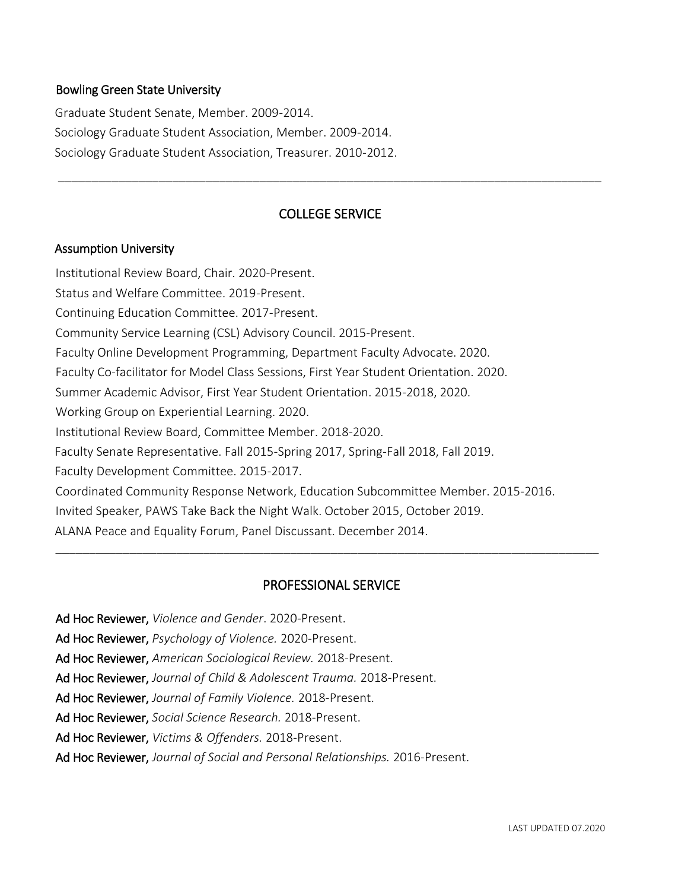#### Bowling Green State University

Graduate Student Senate, Member. 2009-2014. Sociology Graduate Student Association, Member. 2009-2014. Sociology Graduate Student Association, Treasurer. 2010-2012.

#### COLLEGE SERVICE

\_\_\_\_\_\_\_\_\_\_\_\_\_\_\_\_\_\_\_\_\_\_\_\_\_\_\_\_\_\_\_\_\_\_\_\_\_\_\_\_\_\_\_\_\_\_\_\_\_\_\_\_\_\_\_\_\_\_\_\_\_\_\_\_\_\_\_\_\_\_\_\_\_\_\_\_\_\_\_\_\_

#### Assumption University

Institutional Review Board, Chair. 2020-Present. Status and Welfare Committee. 2019-Present. Continuing Education Committee. 2017-Present. Community Service Learning (CSL) Advisory Council. 2015-Present. Faculty Online Development Programming, Department Faculty Advocate. 2020. Faculty Co-facilitator for Model Class Sessions, First Year Student Orientation. 2020. Summer Academic Advisor, First Year Student Orientation. 2015-2018, 2020. Working Group on Experiential Learning. 2020. Institutional Review Board, Committee Member. 2018-2020. Faculty Senate Representative. Fall 2015-Spring 2017, Spring-Fall 2018, Fall 2019. Faculty Development Committee. 2015-2017. Coordinated Community Response Network, Education Subcommittee Member. 2015-2016. Invited Speaker, PAWS Take Back the Night Walk. October 2015, October 2019. ALANA Peace and Equality Forum, Panel Discussant. December 2014. \_\_\_\_\_\_\_\_\_\_\_\_\_\_\_\_\_\_\_\_\_\_\_\_\_\_\_\_\_\_\_\_\_\_\_\_\_\_\_\_\_\_\_\_\_\_\_\_\_\_\_\_\_\_\_\_\_\_\_\_\_\_\_\_\_\_\_\_\_\_\_\_\_\_\_\_\_\_\_\_\_

#### PROFESSIONAL SERVICE

Ad Hoc Reviewer, *Violence and Gender*. 2020-Present.

Ad Hoc Reviewer, *Psychology of Violence.* 2020-Present.

Ad Hoc Reviewer, *American Sociological Review.* 2018-Present.

Ad Hoc Reviewer, *Journal of Child & Adolescent Trauma.* 2018-Present.

Ad Hoc Reviewer, *Journal of Family Violence.* 2018-Present.

Ad Hoc Reviewer, *Social Science Research.* 2018-Present.

Ad Hoc Reviewer, *Victims & Offenders.* 2018-Present.

Ad Hoc Reviewer, *Journal of Social and Personal Relationships.* 2016-Present.